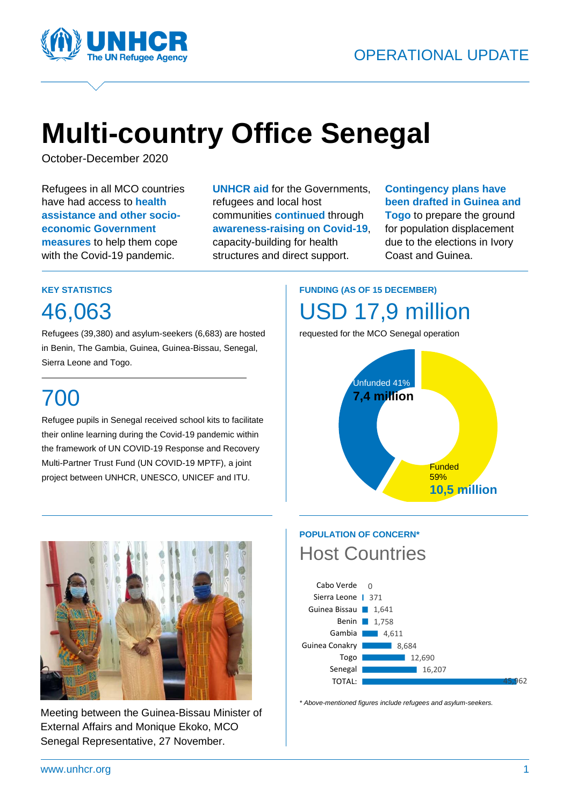

# **Multi-country Office Senegal**

October-December 2020

Refugees in all MCO countries have had access to **health assistance and other socioeconomic Government measures** to help them cope with the Covid-19 pandemic.

**UNHCR aid** for the Governments, refugees and local host communities **continued** through **awareness-raising on Covid-19**, capacity-building for health structures and direct support.

#### **Contingency plans have been drafted in Guinea and Togo** to prepare the ground for population displacement due to the elections in Ivory

Coast and Guinea.

#### **KEY STATISTICS**

46,063

Refugees (39,380) and asylum-seekers (6,683) are hosted in Benin, The Gambia, Guinea, Guinea-Bissau, Senegal, Sierra Leone and Togo.

## 700

Refugee pupils in Senegal received school kits to facilitate their online learning during the Covid-19 pandemic within the framework of UN COVID-19 Response and Recovery Multi-Partner Trust Fund (UN COVID-19 MPTF), a joint project between UNHCR, UNESCO, UNICEF and ITU.

## **FUNDING (AS OF 15 DECEMBER)** USD 17,9 million

requested for the MCO Senegal operation





Meeting between the Guinea-Bissau Minister of External Affairs and Monique Ekoko, MCO Senegal Representative, 27 November.

### **POPULATION OF CONCERN\*** Host Countries



*\* Above-mentioned figures include refugees and asylum-seekers.*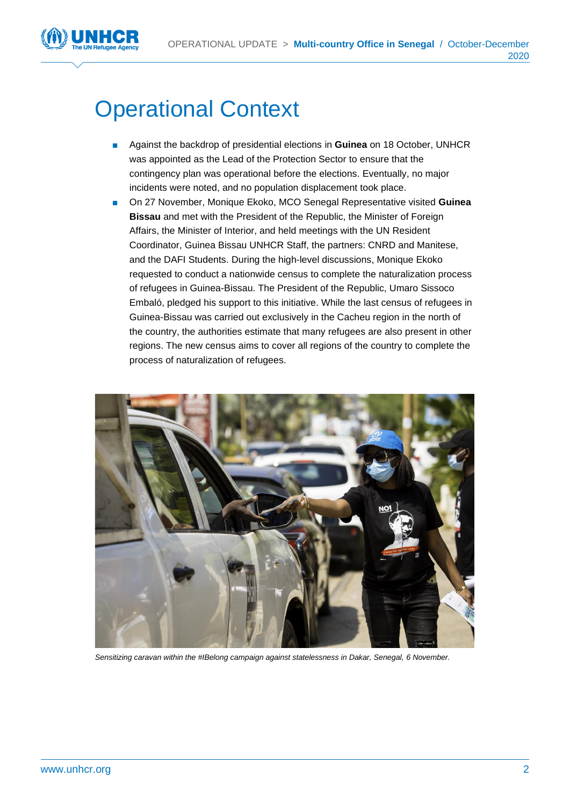

## Operational Context

- Against the backdrop of presidential elections in **Guinea** on 18 October, UNHCR was appointed as the Lead of the Protection Sector to ensure that the contingency plan was operational before the elections. Eventually, no major incidents were noted, and no population displacement took place.
- On 27 November, Monique Ekoko, MCO Senegal Representative visited Guinea **Bissau** and met with the President of the Republic, the Minister of Foreign Affairs, the Minister of Interior, and held meetings with the UN Resident Coordinator, Guinea Bissau UNHCR Staff, the partners: CNRD and Manitese, and the DAFI Students. During the high-level discussions, Monique Ekoko requested to conduct a nationwide census to complete the naturalization process of refugees in Guinea-Bissau. The President of the Republic, Umaro Sissoco Embaló, pledged his support to this initiative. While the last census of refugees in Guinea-Bissau was carried out exclusively in the Cacheu region in the north of the country, the authorities estimate that many refugees are also present in other regions. The new census aims to cover all regions of the country to complete the process of naturalization of refugees.



*Sensitizing caravan within the #IBelong campaign against statelessness in Dakar, Senegal, 6 November.*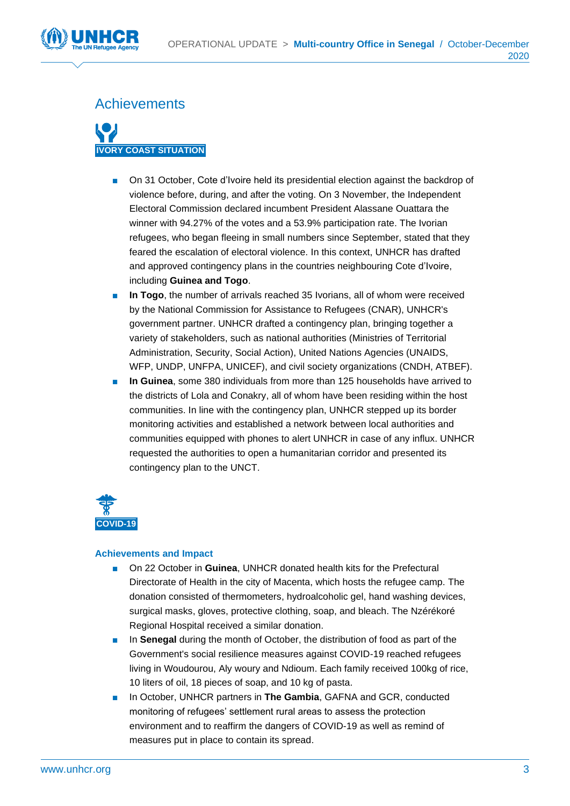

#### **Achievements**



- On 31 October, Cote d'Ivoire held its presidential election against the backdrop of violence before, during, and after the voting. On 3 November, the Independent Electoral Commission declared incumbent President Alassane Ouattara the winner with 94.27% of the votes and a 53.9% participation rate. The Ivorian refugees, who began fleeing in small numbers since September, stated that they feared the escalation of electoral violence. In this context, UNHCR has drafted and approved contingency plans in the countries neighbouring Cote d'Ivoire, including **Guinea and Togo**.
- In Togo, the number of arrivals reached 35 Ivorians, all of whom were received by the National Commission for Assistance to Refugees (CNAR), UNHCR's government partner. UNHCR drafted a contingency plan, bringing together a variety of stakeholders, such as national authorities (Ministries of Territorial Administration, Security, Social Action), United Nations Agencies (UNAIDS, WFP, UNDP, UNFPA, UNICEF), and civil society organizations (CNDH, ATBEF).
- **In Guinea**, some 380 individuals from more than 125 households have arrived to the districts of Lola and Conakry, all of whom have been residing within the host communities. In line with the contingency plan, UNHCR stepped up its border monitoring activities and established a network between local authorities and communities equipped with phones to alert UNHCR in case of any influx. UNHCR requested the authorities to open a humanitarian corridor and presented its contingency plan to the UNCT.



- On 22 October in **Guinea**, UNHCR donated health kits for the Prefectural Directorate of Health in the city of Macenta, which hosts the refugee camp. The donation consisted of thermometers, hydroalcoholic gel, hand washing devices, surgical masks, gloves, protective clothing, soap, and bleach. The Nzérékoré Regional Hospital received a similar donation.
- In **Senegal** during the month of October, the distribution of food as part of the Government's social resilience measures against COVID-19 reached refugees living in Woudourou, Aly woury and Ndioum. Each family received 100kg of rice, 10 liters of oil, 18 pieces of soap, and 10 kg of pasta.
- In October, UNHCR partners in **The Gambia**, GAFNA and GCR, conducted monitoring of refugees' settlement rural areas to assess the protection environment and to reaffirm the dangers of COVID-19 as well as remind of measures put in place to contain its spread.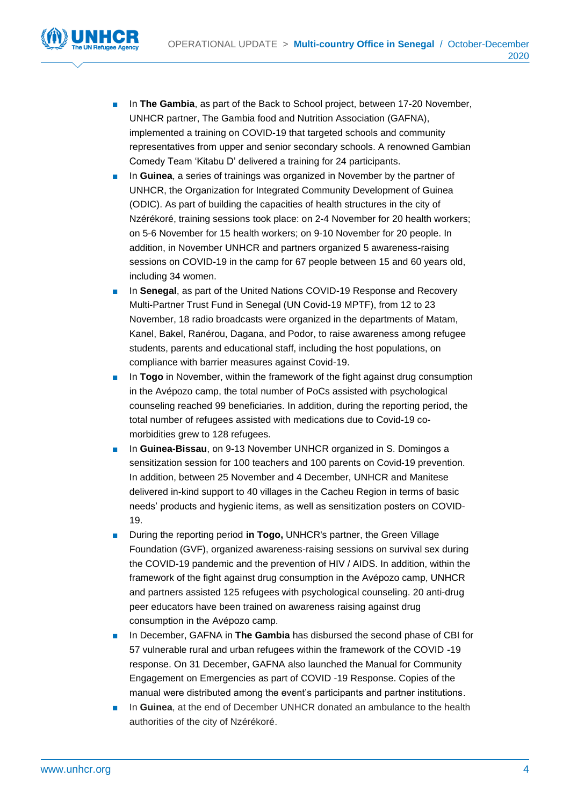

- In **The Gambia**, as part of the Back to School project, between 17-20 November, UNHCR partner, The Gambia food and Nutrition Association (GAFNA), implemented a training on COVID-19 that targeted schools and community representatives from upper and senior secondary schools. A renowned Gambian Comedy Team 'Kitabu D' delivered a training for 24 participants.
- In **Guinea**, a series of trainings was organized in November by the partner of UNHCR, the Organization for Integrated Community Development of Guinea (ODIC). As part of building the capacities of health structures in the city of Nzérékoré, training sessions took place: on 2-4 November for 20 health workers; on 5-6 November for 15 health workers; on 9-10 November for 20 people. In addition, in November UNHCR and partners organized 5 awareness-raising sessions on COVID-19 in the camp for 67 people between 15 and 60 years old, including 34 women.
- In **Senegal**, as part of the United Nations COVID-19 Response and Recovery Multi-Partner Trust Fund in Senegal (UN Covid-19 MPTF), from 12 to 23 November, 18 radio broadcasts were organized in the departments of Matam, Kanel, Bakel, Ranérou, Dagana, and Podor, to raise awareness among refugee students, parents and educational staff, including the host populations, on compliance with barrier measures against Covid-19.
- In **Togo** in November, within the framework of the fight against drug consumption in the Avépozo camp, the total number of PoCs assisted with psychological counseling reached 99 beneficiaries. In addition, during the reporting period, the total number of refugees assisted with medications due to Covid-19 comorbidities grew to 128 refugees.
- In **Guinea-Bissau**, on 9-13 November UNHCR organized in S. Domingos a sensitization session for 100 teachers and 100 parents on Covid-19 prevention. In addition, between 25 November and 4 December, UNHCR and Manitese delivered in-kind support to 40 villages in the Cacheu Region in terms of basic needs' products and hygienic items, as well as sensitization posters on COVID-19.
- During the reporting period in Togo, UNHCR's partner, the Green Village Foundation (GVF), organized awareness-raising sessions on survival sex during the COVID-19 pandemic and the prevention of HIV / AIDS. In addition, within the framework of the fight against drug consumption in the Avépozo camp, UNHCR and partners assisted 125 refugees with psychological counseling. 20 anti-drug peer educators have been trained on awareness raising against drug consumption in the Avépozo camp.
- In December, GAFNA in **The Gambia** has disbursed the second phase of CBI for 57 vulnerable rural and urban refugees within the framework of the COVID -19 response. On 31 December, GAFNA also launched the Manual for Community Engagement on Emergencies as part of COVID -19 Response. Copies of the manual were distributed among the event's participants and partner institutions.
- In **Guinea**, at the end of December UNHCR donated an ambulance to the health authorities of the city of Nzérékoré.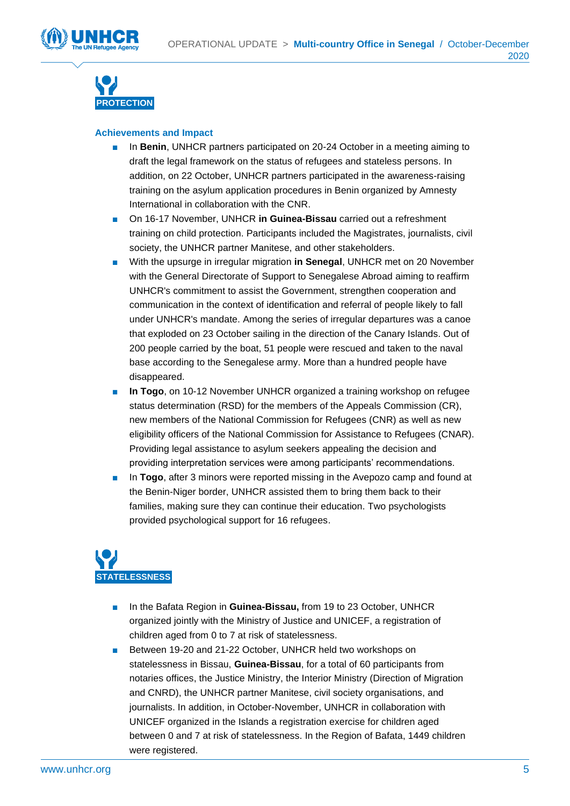



- In **Benin**, UNHCR partners participated on 20-24 October in a meeting aiming to draft the legal framework on the status of refugees and stateless persons. In addition, on 22 October, UNHCR partners participated in the awareness-raising training on the asylum application procedures in Benin organized by Amnesty International in collaboration with the CNR.
- On 16-17 November, UNHCR **in Guinea-Bissau** carried out a refreshment training on child protection. Participants included the Magistrates, journalists, civil society, the UNHCR partner Manitese, and other stakeholders.
- With the upsurge in irregular migration **in Senegal**, UNHCR met on 20 November with the General Directorate of Support to Senegalese Abroad aiming to reaffirm UNHCR's commitment to assist the Government, strengthen cooperation and communication in the context of identification and referral of people likely to fall under UNHCR's mandate. Among the series of irregular departures was a canoe that exploded on 23 October sailing in the direction of the Canary Islands. Out of 200 people carried by the boat, 51 people were rescued and taken to the naval base according to the Senegalese army. More than a hundred people have disappeared.
- In Togo, on 10-12 November UNHCR organized a training workshop on refugee status determination (RSD) for the members of the Appeals Commission (CR), new members of the National Commission for Refugees (CNR) as well as new eligibility officers of the National Commission for Assistance to Refugees (CNAR). Providing legal assistance to asylum seekers appealing the decision and providing interpretation services were among participants' recommendations.
- In **Togo**, after 3 minors were reported missing in the Avepozo camp and found at the Benin-Niger border, UNHCR assisted them to bring them back to their families, making sure they can continue their education. Two psychologists provided psychological support for 16 refugees.



- In the Bafata Region in **Guinea-Bissau**, from 19 to 23 October, UNHCR organized jointly with the Ministry of Justice and UNICEF, a registration of children aged from 0 to 7 at risk of statelessness.
- Between 19-20 and 21-22 October, UNHCR held two workshops on statelessness in Bissau, **Guinea-Bissau**, for a total of 60 participants from notaries offices, the Justice Ministry, the Interior Ministry (Direction of Migration and CNRD), the UNHCR partner Manitese, civil society organisations, and journalists. In addition, in October-November, UNHCR in collaboration with UNICEF organized in the Islands a registration exercise for children aged between 0 and 7 at risk of statelessness. In the Region of Bafata, 1449 children were registered.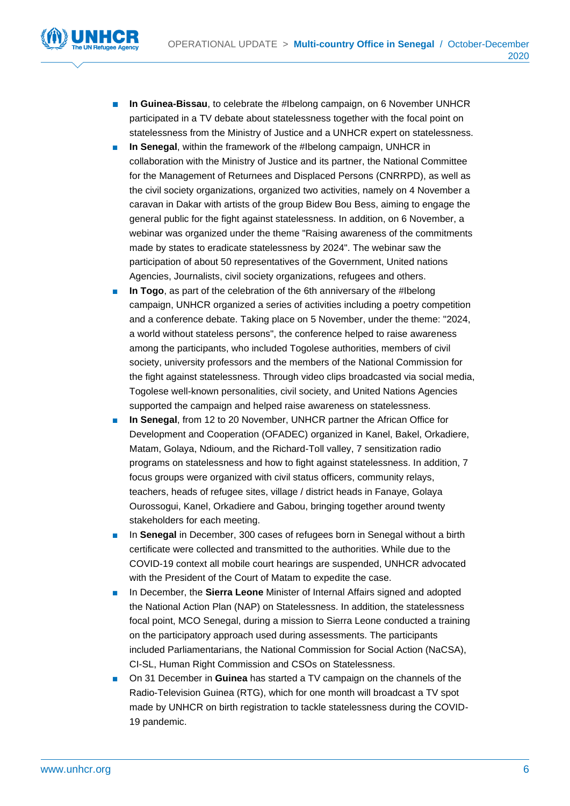

- **In Guinea-Bissau, to celebrate the #Ibelong campaign, on 6 November UNHCR** participated in a TV debate about statelessness together with the focal point on statelessness from the Ministry of Justice and a UNHCR expert on statelessness.
- In Senegal, within the framework of the #Ibelong campaign, UNHCR in collaboration with the Ministry of Justice and its partner, the National Committee for the Management of Returnees and Displaced Persons (CNRRPD), as well as the civil society organizations, organized two activities, namely on 4 November a caravan in Dakar with artists of the group Bidew Bou Bess, aiming to engage the general public for the fight against statelessness. In addition, on 6 November, a webinar was organized under the theme "Raising awareness of the commitments made by states to eradicate statelessness by 2024". The webinar saw the participation of about 50 representatives of the Government, United nations Agencies, Journalists, civil society organizations, refugees and others.
- **In Togo**, as part of the celebration of the 6th anniversary of the #Ibelong campaign, UNHCR organized a series of activities including a poetry competition and a conference debate. Taking place on 5 November, under the theme: "2024, a world without stateless persons", the conference helped to raise awareness among the participants, who included Togolese authorities, members of civil society, university professors and the members of the National Commission for the fight against statelessness. Through video clips broadcasted via social media, Togolese well-known personalities, civil society, and United Nations Agencies supported the campaign and helped raise awareness on statelessness.
- In Senegal, from 12 to 20 November, UNHCR partner the African Office for Development and Cooperation (OFADEC) organized in Kanel, Bakel, Orkadiere, Matam, Golaya, Ndioum, and the Richard-Toll valley, 7 sensitization radio programs on statelessness and how to fight against statelessness. In addition, 7 focus groups were organized with civil status officers, community relays, teachers, heads of refugee sites, village / district heads in Fanaye, Golaya Ourossogui, Kanel, Orkadiere and Gabou, bringing together around twenty stakeholders for each meeting.
- In **Senegal** in December, 300 cases of refugees born in Senegal without a birth certificate were collected and transmitted to the authorities. While due to the COVID-19 context all mobile court hearings are suspended, UNHCR advocated with the President of the Court of Matam to expedite the case.
- In December, the **Sierra Leone** Minister of Internal Affairs signed and adopted the National Action Plan (NAP) on Statelessness. In addition, the statelessness focal point, MCO Senegal, during a mission to Sierra Leone conducted a training on the participatory approach used during assessments. The participants included Parliamentarians, the National Commission for Social Action (NaCSA), CI-SL, Human Right Commission and CSOs on Statelessness.
- On 31 December in **Guinea** has started a TV campaign on the channels of the Radio-Television Guinea (RTG), which for one month will broadcast a TV spot made by UNHCR on birth registration to tackle statelessness during the COVID-19 pandemic.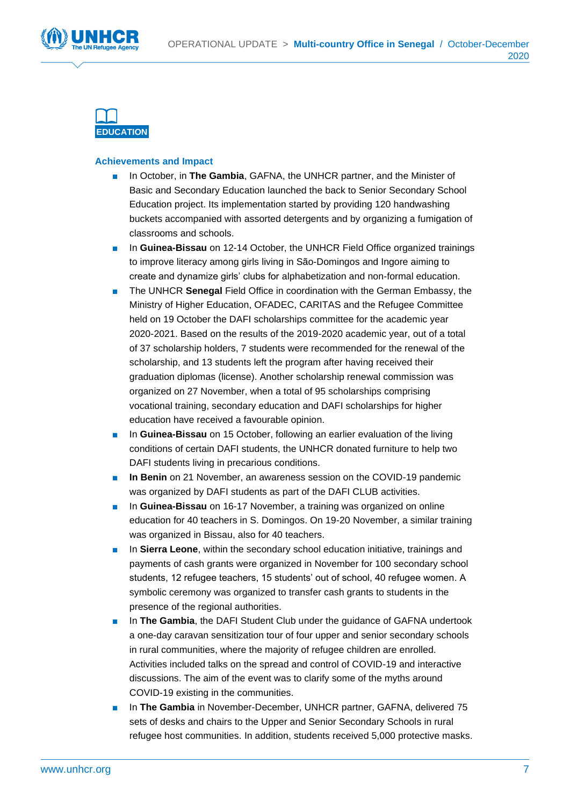





- In October, in **The Gambia**, GAFNA, the UNHCR partner, and the Minister of Basic and Secondary Education launched the back to Senior Secondary School Education project. Its implementation started by providing 120 handwashing buckets accompanied with assorted detergents and by organizing a fumigation of classrooms and schools.
- In **Guinea-Bissau** on 12-14 October, the UNHCR Field Office organized trainings to improve literacy among girls living in São-Domingos and Ingore aiming to create and dynamize girls' clubs for alphabetization and non-formal education.
- The UNHCR **Senegal** Field Office in coordination with the German Embassy, the Ministry of Higher Education, OFADEC, CARITAS and the Refugee Committee held on 19 October the DAFI scholarships committee for the academic year 2020-2021. Based on the results of the 2019-2020 academic year, out of a total of 37 scholarship holders, 7 students were recommended for the renewal of the scholarship, and 13 students left the program after having received their graduation diplomas (license). Another scholarship renewal commission was organized on 27 November, when a total of 95 scholarships comprising vocational training, secondary education and DAFI scholarships for higher education have received a favourable opinion.
- In Guinea-Bissau on 15 October, following an earlier evaluation of the living conditions of certain DAFI students, the UNHCR donated furniture to help two DAFI students living in precarious conditions.
- **In Benin** on 21 November, an awareness session on the COVID-19 pandemic was organized by DAFI students as part of the DAFI CLUB activities.
- In **Guinea-Bissau** on 16-17 November, a training was organized on online education for 40 teachers in S. Domingos. On 19-20 November, a similar training was organized in Bissau, also for 40 teachers.
- In Sierra Leone, within the secondary school education initiative, trainings and payments of cash grants were organized in November for 100 secondary school students, 12 refugee teachers, 15 students' out of school, 40 refugee women. A symbolic ceremony was organized to transfer cash grants to students in the presence of the regional authorities.
- In The Gambia, the DAFI Student Club under the guidance of GAFNA undertook a one-day caravan sensitization tour of four upper and senior secondary schools in rural communities, where the majority of refugee children are enrolled. Activities included talks on the spread and control of COVID-19 and interactive discussions. The aim of the event was to clarify some of the myths around COVID-19 existing in the communities.
- In **The Gambia** in November-December, UNHCR partner, GAFNA, delivered 75 sets of desks and chairs to the Upper and Senior Secondary Schools in rural refugee host communities. In addition, students received 5,000 protective masks.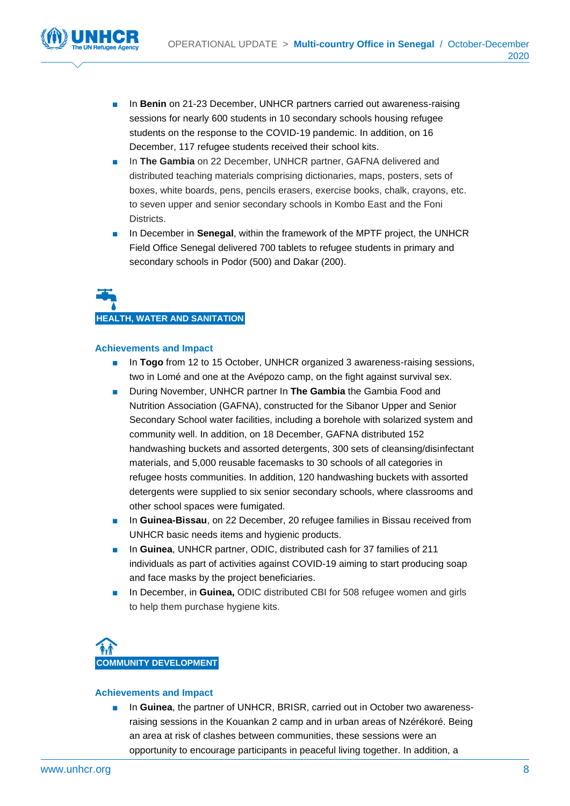

- In **Benin** on 21-23 December, UNHCR partners carried out awareness-raising sessions for nearly 600 students in 10 secondary schools housing refugee students on the response to the COVID-19 pandemic. In addition, on 16 December, 117 refugee students received their school kits.
- In **The Gambia** on 22 December, UNHCR partner, GAFNA delivered and distributed teaching materials comprising dictionaries, maps, posters, sets of boxes, white boards, pens, pencils erasers, exercise books, chalk, crayons, etc. to seven upper and senior secondary schools in Kombo East and the Foni Districts.
- In December in **Senegal**, within the framework of the MPTF project, the UNHCR Field Office Senegal delivered 700 tablets to refugee students in primary and secondary schools in Podor (500) and Dakar (200).

# **HEALTH, WATER AND SANITATION**

#### **Achievements and Impact**

- In **Togo** from 12 to 15 October, UNHCR organized 3 awareness-raising sessions, two in Lomé and one at the Avépozo camp, on the fight against survival sex.
- During November, UNHCR partner In The Gambia the Gambia Food and Nutrition Association (GAFNA), constructed for the Sibanor Upper and Senior Secondary School water facilities, including a borehole with solarized system and community well. In addition, on 18 December, GAFNA distributed 152 handwashing buckets and assorted detergents, 300 sets of cleansing/disinfectant materials, and 5,000 reusable facemasks to 30 schools of all categories in refugee hosts communities. In addition, 120 handwashing buckets with assorted detergents were supplied to six senior secondary schools, where classrooms and other school spaces were fumigated.
- In Guinea-Bissau, on 22 December, 20 refugee families in Bissau received from UNHCR basic needs items and hygienic products.
- In **Guinea**, UNHCR partner, ODIC, distributed cash for 37 families of 211 individuals as part of activities against COVID-19 aiming to start producing soap and face masks by the project beneficiaries.
- In December, in **Guinea,** ODIC distributed CBI for 508 refugee women and girls to help them purchase hygiene kits.



#### **Achievements and Impact**

■ In **Guinea**, the partner of UNHCR, BRISR, carried out in October two awarenessraising sessions in the Kouankan 2 camp and in urban areas of Nzérékoré. Being an area at risk of clashes between communities, these sessions were an opportunity to encourage participants in peaceful living together. In addition, a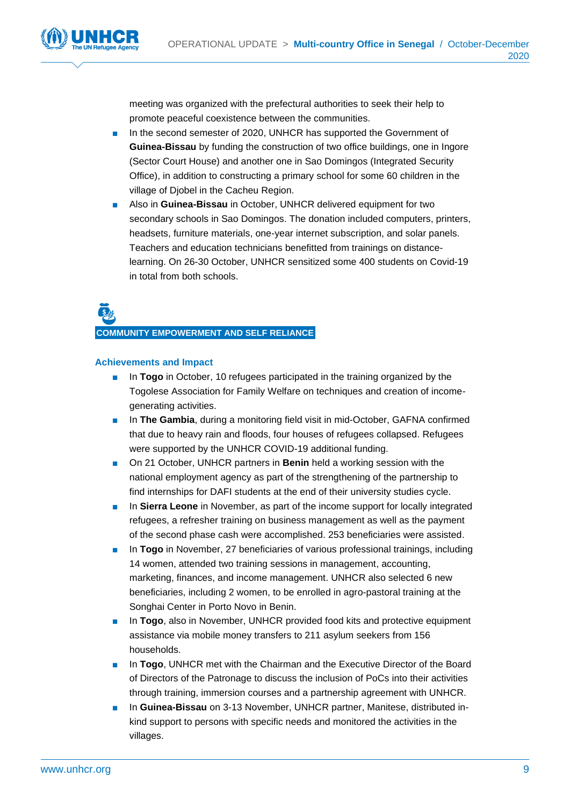



meeting was organized with the prefectural authorities to seek their help to promote peaceful coexistence between the communities.

- In the second semester of 2020, UNHCR has supported the Government of **Guinea-Bissau** by funding the construction of two office buildings, one in Ingore (Sector Court House) and another one in Sao Domingos (Integrated Security Office), in addition to constructing a primary school for some 60 children in the village of Djobel in the Cacheu Region.
- Also in **Guinea-Bissau** in October, UNHCR delivered equipment for two secondary schools in Sao Domingos. The donation included computers, printers, headsets, furniture materials, one-year internet subscription, and solar panels. Teachers and education technicians benefitted from trainings on distancelearning. On 26-30 October, UNHCR sensitized some 400 students on Covid-19 in total from both schools.



**COMMUNITY EMPOWERMENT AND SELF RELIANCE**

- In **Togo** in October, 10 refugees participated in the training organized by the Togolese Association for Family Welfare on techniques and creation of incomegenerating activities.
- In **The Gambia**, during a monitoring field visit in mid-October, GAFNA confirmed that due to heavy rain and floods, four houses of refugees collapsed. Refugees were supported by the UNHCR COVID-19 additional funding.
- On 21 October, UNHCR partners in **Benin** held a working session with the national employment agency as part of the strengthening of the partnership to find internships for DAFI students at the end of their university studies cycle.
- In **Sierra Leone** in November, as part of the income support for locally integrated refugees, a refresher training on business management as well as the payment of the second phase cash were accomplished. 253 beneficiaries were assisted.
- In **Togo** in November, 27 beneficiaries of various professional trainings, including 14 women, attended two training sessions in management, accounting, marketing, finances, and income management. UNHCR also selected 6 new beneficiaries, including 2 women, to be enrolled in agro-pastoral training at the Songhai Center in Porto Novo in Benin.
- In **Togo**, also in November, UNHCR provided food kits and protective equipment assistance via mobile money transfers to 211 asylum seekers from 156 households.
- In **Togo**, UNHCR met with the Chairman and the Executive Director of the Board of Directors of the Patronage to discuss the inclusion of PoCs into their activities through training, immersion courses and a partnership agreement with UNHCR.
- In **Guinea-Bissau** on 3-13 November, UNHCR partner, Manitese, distributed inkind support to persons with specific needs and monitored the activities in the villages.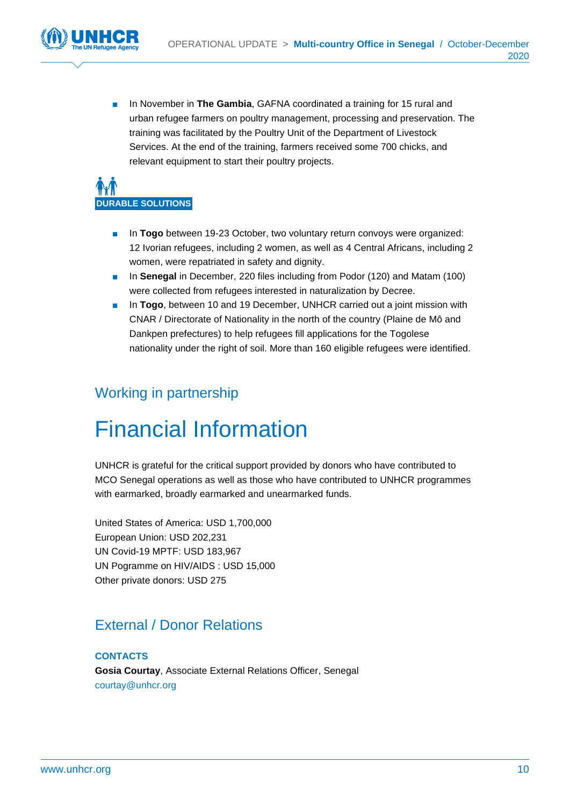

In November in **The Gambia**, GAFNA coordinated a training for 15 rural and urban refugee farmers on poultry management, processing and preservation. The training was facilitated by the Poultry Unit of the Department of Livestock Services. At the end of the training, farmers received some 700 chicks, and relevant equipment to start their poultry projects.

# **DURABLE SOLUTIONS**

- In **Togo** between 19-23 October, two voluntary return convoys were organized: 12 Ivorian refugees, including 2 women, as well as 4 Central Africans, including 2 women, were repatriated in safety and dignity.
- In **Senegal** in December, 220 files including from Podor (120) and Matam (100) were collected from refugees interested in naturalization by Decree.
- In **Togo**, between 10 and 19 December, UNHCR carried out a joint mission with CNAR / Directorate of Nationality in the north of the country (Plaine de Mô and Dankpen prefectures) to help refugees fill applications for the Togolese nationality under the right of soil. More than 160 eligible refugees were identified.

### Working in partnership

## Financial Information

UNHCR is grateful for the critical support provided by donors who have contributed to MCO Senegal operations as well as those who have contributed to UNHCR programmes with earmarked, broadly earmarked and unearmarked funds.

United States of America: USD 1,700,000 European Union: USD 202,231 UN Covid-19 MPTF: USD 183,967 UN Pogramme on HIV/AIDS : USD 15,000 Other private donors: USD 275

### External / Donor Relations

**CONTACTS Gosia Courtay**, Associate External Relations Officer, Senegal [courtay@unhcr.org](mailto:courtay@unhcr.org)